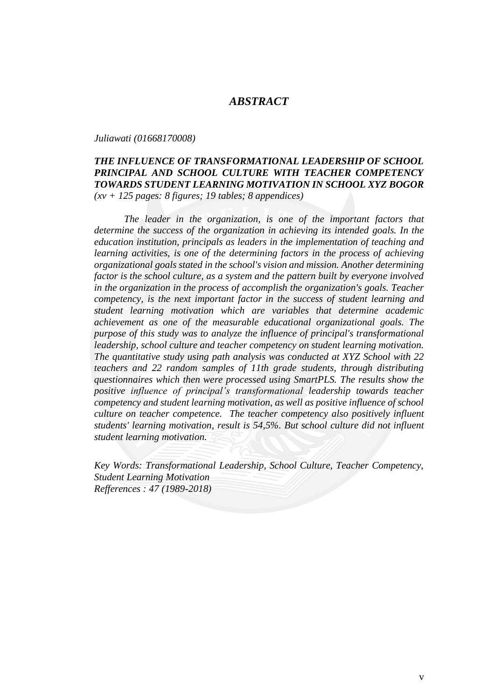## *ABSTRACT*

*Juliawati (01668170008)*

## *THE INFLUENCE OF TRANSFORMATIONAL LEADERSHIP OF SCHOOL PRINCIPAL AND SCHOOL CULTURE WITH TEACHER COMPETENCY TOWARDS STUDENT LEARNING MOTIVATION IN SCHOOL XYZ BOGOR (xv + 125 pages: 8 figures; 19 tables; 8 appendices)*

*The leader in the organization, is one of the important factors that determine the success of the organization in achieving its intended goals. In the education institution, principals as leaders in the implementation of teaching and learning activities, is one of the determining factors in the process of achieving organizational goals stated in the school's vision and mission. Another determining factor is the school culture, as a system and the pattern built by everyone involved in the organization in the process of accomplish the organization's goals. Teacher competency, is the next important factor in the success of student learning and student learning motivation which are variables that determine academic achievement as one of the measurable educational organizational goals. The purpose of this study was to analyze the influence of principal's transformational leadership, school culture and teacher competency on student learning motivation. The quantitative study using path analysis was conducted at XYZ School with 22 teachers and 22 random samples of 11th grade students, through distributing questionnaires which then were processed using SmartPLS. The results show the positive influence of principal's transformational leadership towards teacher competency and student learning motivation, as well as positive influence of school culture on teacher competence. The teacher competency also positively influent students' learning motivation, result is 54,5%. But school culture did not influent student learning motivation.*

*Key Words: Transformational Leadership, School Culture, Teacher Competency, Student Learning Motivation Refferences : 47 (1989-2018)*